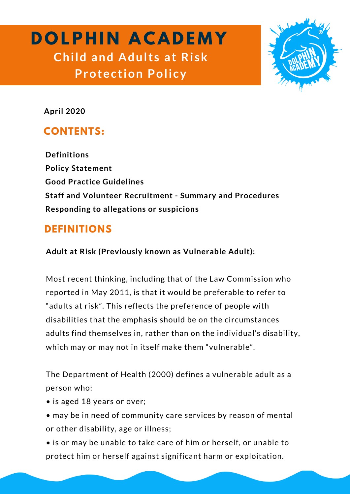# **D O LP H I N A C A D E M Y Child and Adult s at Ri sk Protection Policy**



**April 2020**

# **CONTENTS:**

**Definitions Policy Statement Good Practice Guidelines Staff and Volunteer Recruitment - Summary and Procedures Responding to allegations or suspicions**

# **DEFINITIONS**

**Adult at Risk (Previously known as Vulnerable Adult):**

Most recent thinking, including that of the Law Commission who reported in May 2011, is that it would be preferable to refer to "adults at risk". This reflects the preference of people with disabilities that the emphasis should be on the circumstances adults find themselves in, rather than on the individual's disability, which may or may not in itself make them "vulnerable".

The Department of Health (2000) defines a vulnerable adult as a person who:

- is aged 18 years or over;
- may be in need of community care services by reason of mental or other disability, age or illness;
- is or may be unable to take care of him or herself, or unable to protect him or herself against significant harm or exploitation.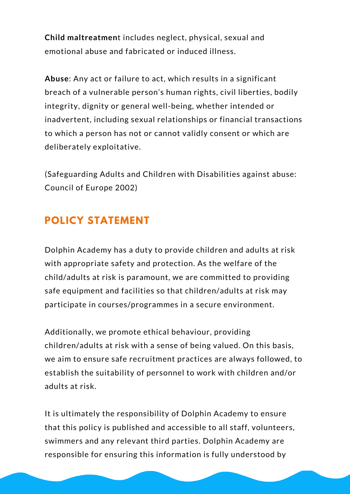**Child maltreatmen**t includes neglect, physical, sexual and emotional abuse and fabricated or induced illness.

**Abuse**: Any act or failure to act, which results in a significant breach of a vulnerable person's human rights, civil liberties, bodily integrity, dignity or general well-being, whether intended or inadvertent, including sexual relationships or financial transactions to which a person has not or cannot validly consent or which are deliberately exploitative.

(Safeguarding Adults and Children with Disabilities against abuse: Council of Europe 2002)

# **POLICY STATEMENT**

Dolphin Academy has a duty to provide children and adults at risk with appropriate safety and protection. As the welfare of the child/adults at risk is paramount, we are committed to providing safe equipment and facilities so that children/adults at risk may participate in courses/programmes in a secure environment.

Additionally, we promote ethical behaviour, providing children/adults at risk with a sense of being valued. On this basis, we aim to ensure safe recruitment practices are always followed, to establish the suitability of personnel to work with children and/or adults at risk.

It is ultimately the responsibility of Dolphin Academy to ensure that this policy is published and accessible to all staff, volunteers, swimmers and any relevant third parties. Dolphin Academy are responsible for ensuring this information is fully understood by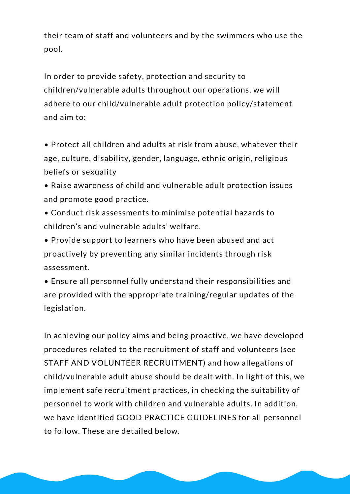their team of staff and volunteers and by the swimmers who use the pool.

In order to provide safety, protection and security to children/vulnerable adults throughout our operations, we will adhere to our child/vulnerable adult protection policy/statement and aim to:

• Protect all children and adults at risk from abuse, whatever their age, culture, disability, gender, language, ethnic origin, religious beliefs or sexuality

- Raise awareness of child and vulnerable adult protection issues and promote good practice.
- Conduct risk assessments to minimise potential hazards to children's and vulnerable adults' welfare.
- Provide support to learners who have been abused and act proactively by preventing any similar incidents through risk assessment.
- Ensure all personnel fully understand their responsibilities and are provided with the appropriate training/regular updates of the legislation.

In achieving our policy aims and being proactive, we have developed procedures related to the recruitment of staff and volunteers (see STAFF AND VOLUNTEER RECRUITMENT) and how allegations of child/vulnerable adult abuse should be dealt with. In light of this, we implement safe recruitment practices, in checking the suitability of personnel to work with children and vulnerable adults. In addition, we have identified GOOD PRACTICE GUIDELINES for all personnel to follow. These are detailed below.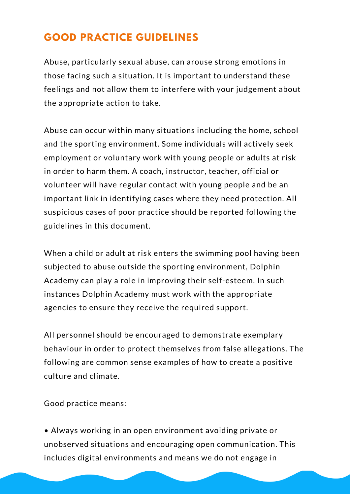## **GOOD PRACTICE GUIDELINES**

Abuse, particularly sexual abuse, can arouse strong emotions in those facing such a situation. It is important to understand these feelings and not allow them to interfere with your judgement about the appropriate action to take.

Abuse can occur within many situations including the home, school and the sporting environment. Some individuals will actively seek employment or voluntary work with young people or adults at risk in order to harm them. A coach, instructor, teacher, official or volunteer will have regular contact with young people and be an important link in identifying cases where they need protection. All suspicious cases of poor practice should be reported following the guidelines in this document.

When a child or adult at risk enters the swimming pool having been subjected to abuse outside the sporting environment, Dolphin Academy can play a role in improving their self-esteem. In such instances Dolphin Academy must work with the appropriate agencies to ensure they receive the required support.

All personnel should be encouraged to demonstrate exemplary behaviour in order to protect themselves from false allegations. The following are common sense examples of how to create a positive culture and climate.

Good practice means:

• Always working in an open environment avoiding private or unobserved situations and encouraging open communication. This includes digital environments and means we do not engage in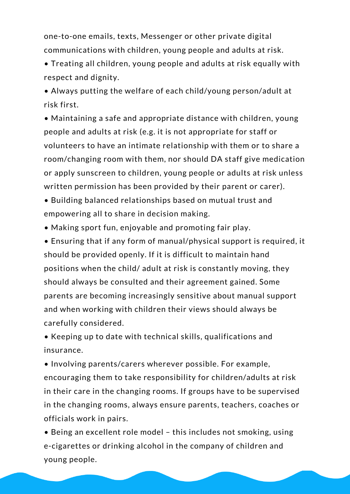one-to-one emails, texts, Messenger or other private digital communications with children, young people and adults at risk.

• Treating all children, young people and adults at risk equally with respect and dignity.

• Always putting the welfare of each child/young person/adult at risk first.

• Maintaining a safe and appropriate distance with children, young people and adults at risk (e.g. it is not appropriate for staff or volunteers to have an intimate relationship with them or to share a room/changing room with them, nor should DA staff give medication or apply sunscreen to children, young people or adults at risk unless written permission has been provided by their parent or carer).

• Building balanced relationships based on mutual trust and empowering all to share in decision making.

• Making sport fun, enjoyable and promoting fair play.

• Ensuring that if any form of manual/physical support is required, it should be provided openly. If it is difficult to maintain hand positions when the child/ adult at risk is constantly moving, they should always be consulted and their agreement gained. Some parents are becoming increasingly sensitive about manual support and when working with children their views should always be carefully considered.

• Keeping up to date with technical skills, qualifications and insurance.

• Involving parents/carers wherever possible. For example, encouraging them to take responsibility for children/adults at risk in their care in the changing rooms. If groups have to be supervised in the changing rooms, always ensure parents, teachers, coaches or officials work in pairs.

• Being an excellent role model – this includes not smoking, using e-cigarettes or drinking alcohol in the company of children and young people.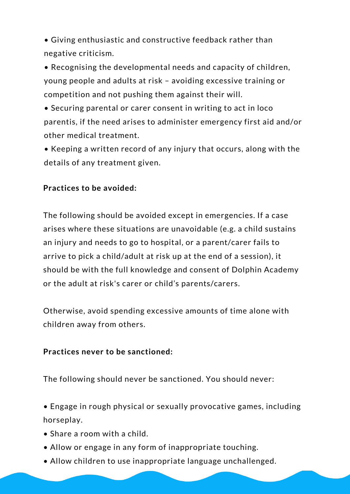• Giving enthusiastic and constructive feedback rather than negative criticism.

• Recognising the developmental needs and capacity of children, young people and adults at risk – avoiding excessive training or competition and not pushing them against their will.

• Securing parental or carer consent in writing to act in loco parentis, if the need arises to administer emergency first aid and/or other medical treatment.

• Keeping a written record of any injury that occurs, along with the details of any treatment given.

#### **Practices to be avoided:**

The following should be avoided except in emergencies. If a case arises where these situations are unavoidable (e.g. a child sustains an injury and needs to go to hospital, or a parent/carer fails to arrive to pick a child/adult at risk up at the end of a session), it should be with the full knowledge and consent of Dolphin Academy or the adult at risk's carer or child's parents/carers.

Otherwise, avoid spending excessive amounts of time alone with children away from others.

#### **Practices never to be sanctioned:**

The following should never be sanctioned. You should never:

• Engage in rough physical or sexually provocative games, including horseplay.

- Share a room with a child.
- Allow or engage in any form of inappropriate touching.
- Allow children to use inappropriate language unchallenged.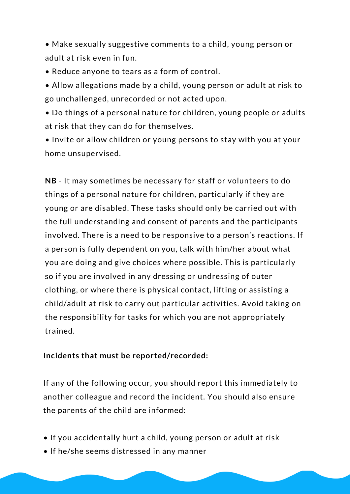• Make sexually suggestive comments to a child, young person or adult at risk even in fun.

- Reduce anyone to tears as a form of control.
- Allow allegations made by a child, young person or adult at risk to go unchallenged, unrecorded or not acted upon.
- Do things of a personal nature for children, young people or adults at risk that they can do for themselves.

• Invite or allow children or young persons to stay with you at your home unsupervised.

**NB** - It may sometimes be necessary for staff or volunteers to do things of a personal nature for children, particularly if they are young or are disabled. These tasks should only be carried out with the full understanding and consent of parents and the participants involved. There is a need to be responsive to a person's reactions. If a person is fully dependent on you, talk with him/her about what you are doing and give choices where possible. This is particularly so if you are involved in any dressing or undressing of outer clothing, or where there is physical contact, lifting or assisting a child/adult at risk to carry out particular activities. Avoid taking on the responsibility for tasks for which you are not appropriately trained.

#### **Incidents that must be reported/recorded:**

If any of the following occur, you should report this immediately to another colleague and record the incident. You should also ensure the parents of the child are informed:

- If you accidentally hurt a child, young person or adult at risk
- If he/she seems distressed in any manner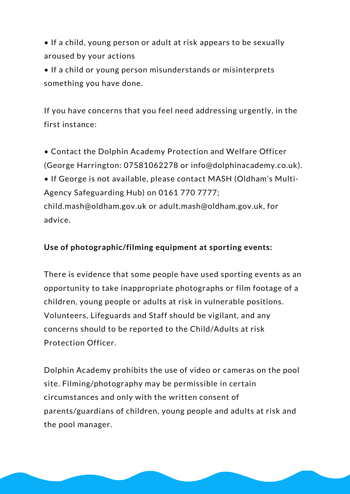• If a child, young person or adult at risk appears to be sexually aroused by your actions

• If a child or young person misunderstands or misinterprets something you have done.

If you have concerns that you feel need addressing urgently, in the first instance:

• Contact the Dolphin Academy Protection and Welfare Officer (George Harrington: 07581062278 or info@dolphinacademy.co.uk).

• If George is not available, please contact MASH (Oldham's Multi-Agency Safeguarding Hub) on 0161 770 7777;

child.mash@oldham.gov.uk or adult.mash@oldham.gov.uk, for advice.

#### **Use of photographic/filming equipment at sporting events:**

There is evidence that some people have used sporting events as an opportunity to take inappropriate photographs or film footage of a children, young people or adults at risk in vulnerable positions. Volunteers, Lifeguards and Staff should be vigilant, and any concerns should to be reported to the Child/Adults at risk Protection Officer.

Dolphin Academy prohibits the use of video or cameras on the pool site. Filming/photography may be permissible in certain circumstances and only with the written consent of parents/guardians of children, young people and adults at risk and the pool manager.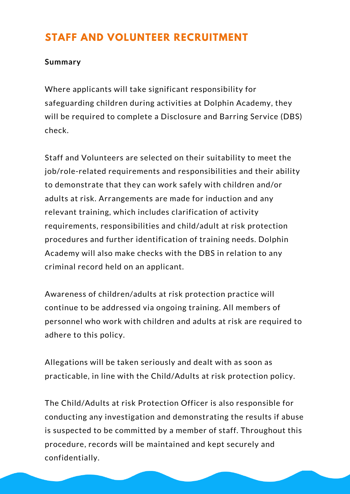# **STAFF AND VOLUNTEER RECRUITMENT**

#### **Summary**

Where applicants will take significant responsibility for safeguarding children during activities at Dolphin Academy, they will be required to complete a Disclosure and Barring Service (DBS) check.

Staff and Volunteers are selected on their suitability to meet the job/role-related requirements and responsibilities and their ability to demonstrate that they can work safely with children and/or adults at risk. Arrangements are made for induction and any relevant training, which includes clarification of activity requirements, responsibilities and child/adult at risk protection procedures and further identification of training needs. Dolphin Academy will also make checks with the DBS in relation to any criminal record held on an applicant.

Awareness of children/adults at risk protection practice will continue to be addressed via ongoing training. All members of personnel who work with children and adults at risk are required to adhere to this policy.

Allegations will be taken seriously and dealt with as soon as practicable, in line with the Child/Adults at risk protection policy.

The Child/Adults at risk Protection Officer is also responsible for conducting any investigation and demonstrating the results if abuse is suspected to be committed by a member of staff. Throughout this procedure, records will be maintained and kept securely and confidentially.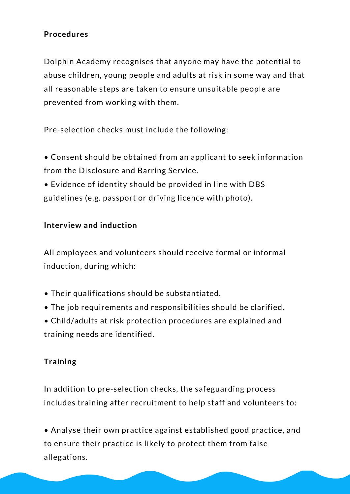#### **Procedures**

Dolphin Academy recognises that anyone may have the potential to abuse children, young people and adults at risk in some way and that all reasonable steps are taken to ensure unsuitable people are prevented from working with them.

Pre-selection checks must include the following:

• Consent should be obtained from an applicant to seek information from the Disclosure and Barring Service.

• Evidence of identity should be provided in line with DBS guidelines (e.g. passport or driving licence with photo).

#### **Interview and induction**

All employees and volunteers should receive formal or informal induction, during which:

- Their qualifications should be substantiated.
- The job requirements and responsibilities should be clarified.

• Child/adults at risk protection procedures are explained and training needs are identified.

#### **Training**

In addition to pre-selection checks, the safeguarding process includes training after recruitment to help staff and volunteers to:

• Analyse their own practice against established good practice, and to ensure their practice is likely to protect them from false allegations.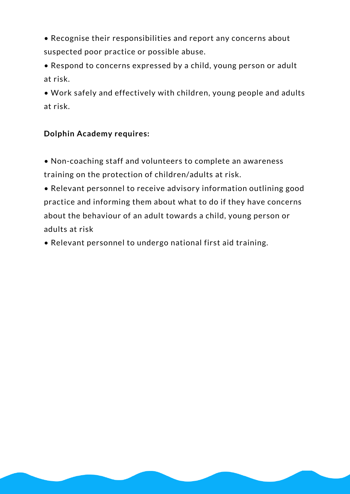• Recognise their responsibilities and report any concerns about suspected poor practice or possible abuse.

• Respond to concerns expressed by a child, young person or adult at risk.

• Work safely and effectively with children, young people and adults at risk.

#### **Dolphin Academy requires:**

• Non-coaching staff and volunteers to complete an awareness training on the protection of children/adults at risk.

• Relevant personnel to receive advisory information outlining good practice and informing them about what to do if they have concerns about the behaviour of an adult towards a child, young person or adults at risk

• Relevant personnel to undergo national first aid training.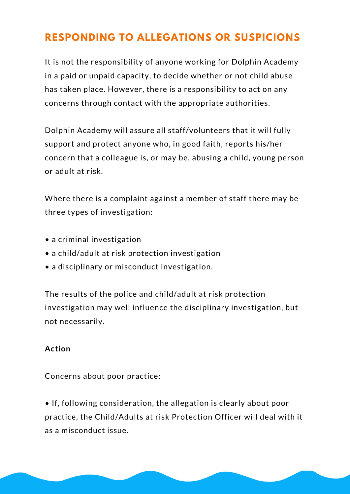# **RESPONDING TO ALLEGATIONS OR SUSPICIONS**

It is not the responsibility of anyone working for Dolphin Academy in a paid or unpaid capacity, to decide whether or not child abuse has taken place. However, there is a responsibility to act on any concerns through contact with the appropriate authorities.

Dolphin Academy will assure all staff/volunteers that it will fully support and protect anyone who, in good faith, reports his/her concern that a colleague is, or may be, abusing a child, young person or adult at risk.

Where there is a complaint against a member of staff there may be three types of investigation:

- a criminal investigation
- a child/adult at risk protection investigation
- a disciplinary or misconduct investigation.

The results of the police and child/adult at risk protection investigation may well influence the disciplinary investigation, but not necessarily.

#### **Action**

Concerns about poor practice:

• If, following consideration, the allegation is clearly about poor practice, the Child/Adults at risk Protection Officer will deal with it as a misconduct issue.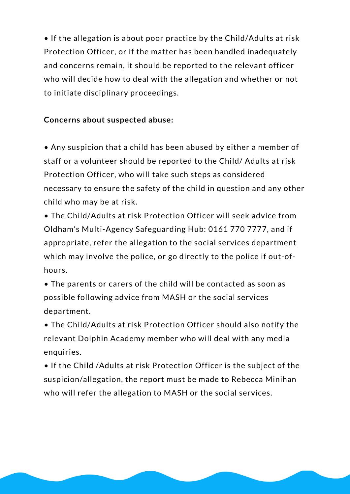• If the allegation is about poor practice by the Child/Adults at risk Protection Officer, or if the matter has been handled inadequately and concerns remain, it should be reported to the relevant officer who will decide how to deal with the allegation and whether or not to initiate disciplinary proceedings.

#### **Concerns about suspected abuse:**

• Any suspicion that a child has been abused by either a member of staff or a volunteer should be reported to the Child/ Adults at risk Protection Officer, who will take such steps as considered necessary to ensure the safety of the child in question and any other child who may be at risk.

• The Child/Adults at risk Protection Officer will seek advice from Oldham's Multi-Agency Safeguarding Hub: 0161 770 7777, and if appropriate, refer the allegation to the social services department which may involve the police, or go directly to the police if out-ofhours.

• The parents or carers of the child will be contacted as soon as possible following advice from MASH or the social services department.

• The Child/Adults at risk Protection Officer should also notify the relevant Dolphin Academy member who will deal with any media enquiries.

• If the Child /Adults at risk Protection Officer is the subject of the suspicion/allegation, the report must be made to Rebecca Minihan who will refer the allegation to MASH or the social services.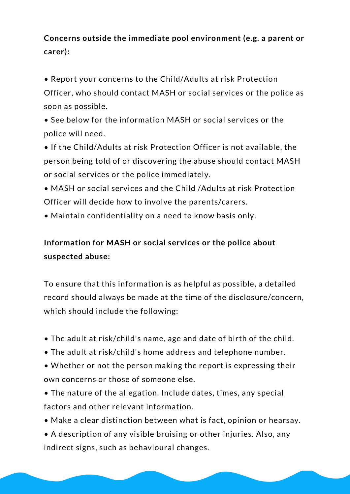### **Concerns outside the immediate pool environment (e.g. a parent or carer):**

• Report your concerns to the Child/Adults at risk Protection Officer, who should contact MASH or social services or the police as soon as possible.

• See below for the information MASH or social services or the police will need.

• If the Child/Adults at risk Protection Officer is not available, the person being told of or discovering the abuse should contact MASH or social services or the police immediately.

- MASH or social services and the Child /Adults at risk Protection Officer will decide how to involve the parents/carers.
- Maintain confidentiality on a need to know basis only.

### **Information for MASH or social services or the police about suspected abuse:**

To ensure that this information is as helpful as possible, a detailed record should always be made at the time of the disclosure/concern, which should include the following:

- The adult at risk/child's name, age and date of birth of the child.
- The adult at risk/child's home address and telephone number.
- Whether or not the person making the report is expressing their own concerns or those of someone else.
- The nature of the allegation. Include dates, times, any special factors and other relevant information.
- Make a clear distinction between what is fact, opinion or hearsay.
- A description of any visible bruising or other injuries. Also, any indirect signs, such as behavioural changes.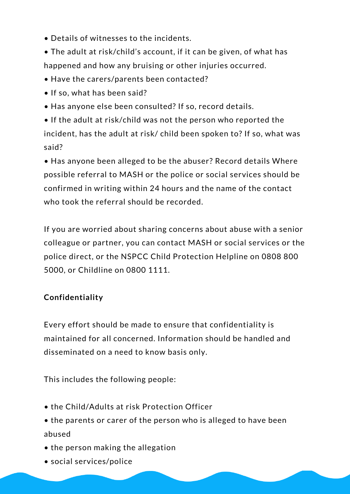- Details of witnesses to the incidents.
- The adult at risk/child's account, if it can be given, of what has happened and how any bruising or other injuries occurred.
- Have the carers/parents been contacted?
- If so, what has been said?
- Has anyone else been consulted? If so, record details.

• If the adult at risk/child was not the person who reported the incident, has the adult at risk/ child been spoken to? If so, what was said?

• Has anyone been alleged to be the abuser? Record details Where possible referral to MASH or the police or social services should be confirmed in writing within 24 hours and the name of the contact who took the referral should be recorded.

If you are worried about sharing concerns about abuse with a senior colleague or partner, you can contact MASH or social services or the police direct, or the NSPCC Child Protection Helpline on 0808 800 5000, or Childline on 0800 1111.

### **Confidentiality**

Every effort should be made to ensure that confidentiality is maintained for all concerned. Information should be handled and disseminated on a need to know basis only.

This includes the following people:

- the Child/Adults at risk Protection Officer
- the parents or carer of the person who is alleged to have been abused
- the person making the allegation
- social services/police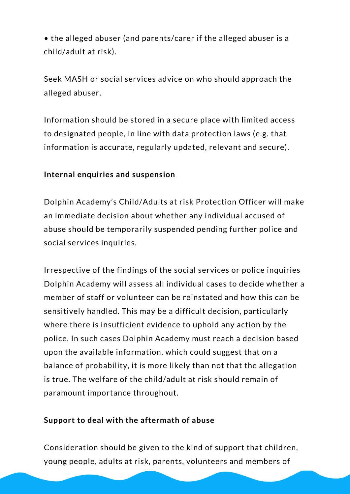• the alleged abuser (and parents/carer if the alleged abuser is a child/adult at risk).

Seek MASH or social services advice on who should approach the alleged abuser.

Information should be stored in a secure place with limited access to designated people, in line with data protection laws (e.g. that information is accurate, regularly updated, relevant and secure).

#### **Internal enquiries and suspension**

Dolphin Academy's Child/Adults at risk Protection Officer will make an immediate decision about whether any individual accused of abuse should be temporarily suspended pending further police and social services inquiries.

Irrespective of the findings of the social services or police inquiries Dolphin Academy will assess all individual cases to decide whether a member of staff or volunteer can be reinstated and how this can be sensitively handled. This may be a difficult decision, particularly where there is insufficient evidence to uphold any action by the police. In such cases Dolphin Academy must reach a decision based upon the available information, which could suggest that on a balance of probability, it is more likely than not that the allegation is true. The welfare of the child/adult at risk should remain of paramount importance throughout.

#### **Support to deal with the aftermath of abuse**

Consideration should be given to the kind of support that children, young people, adults at risk, parents, volunteers and members of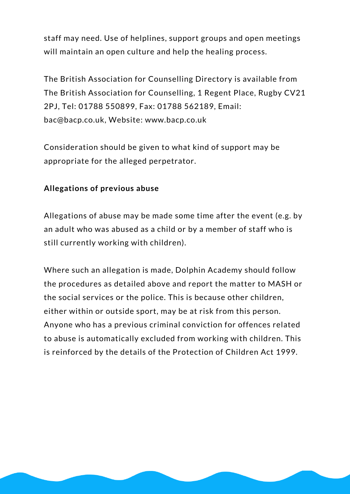staff may need. Use of helplines, support groups and open meetings will maintain an open culture and help the healing process.

The British Association for Counselling Directory is available from The British Association for Counselling, 1 Regent Place, Rugby CV21 2PJ, Tel: 01788 550899, Fax: 01788 562189, Email: bac@bacp.co.uk, Website: www.bacp.co.uk

Consideration should be given to what kind of support may be appropriate for the alleged perpetrator.

#### **Allegations of previous abuse**

Allegations of abuse may be made some time after the event (e.g. by an adult who was abused as a child or by a member of staff who is still currently working with children).

Where such an allegation is made, Dolphin Academy should follow the procedures as detailed above and report the matter to MASH or the social services or the police. This is because other children, either within or outside sport, may be at risk from this person. Anyone who has a previous criminal conviction for offences related to abuse is automatically excluded from working with children. This is reinforced by the details of the Protection of Children Act 1999.